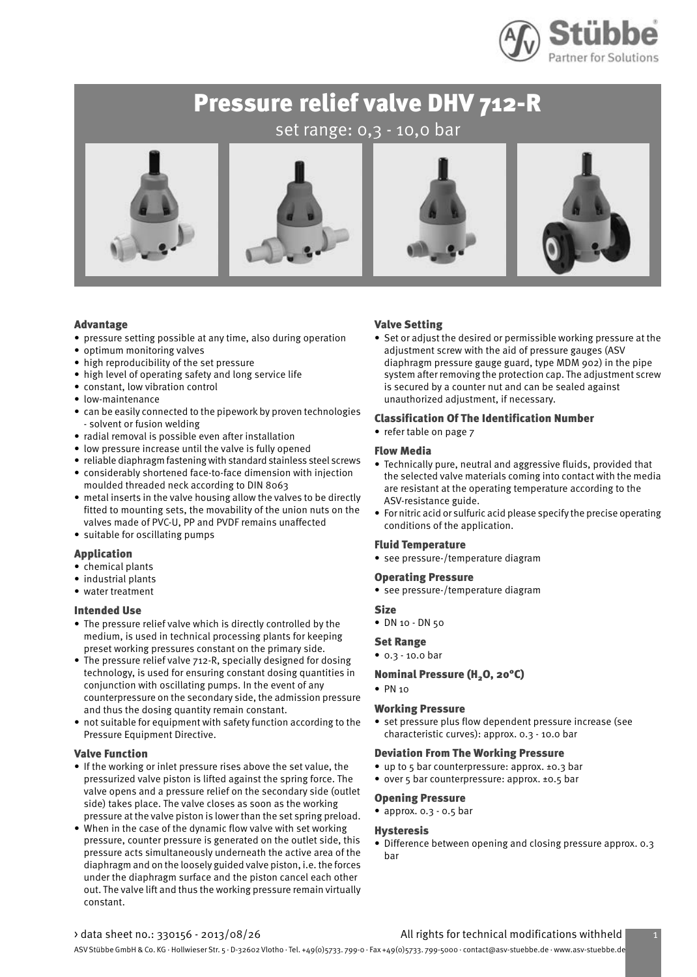

set range: 0,3 - 10,0 bar



#### Advantage

- pressure setting possible at any time, also during operation
- optimum monitoring valves
- high reproducibility of the set pressure
- high level of operating safety and long service life
- constant, low vibration control
- low-maintenance
- can be easily connected to the pipework by proven technologies - solvent or fusion welding
- radial removal is possible even after installation
- low pressure increase until the valve is fully opened
- reliable diaphragm fastening with standard stainless steel screws • considerably shortened face-to-face dimension with injection moulded threaded neck according to DIN 8063
- metal inserts in the valve housing allow the valves to be directly fitted to mounting sets, the movability of the union nuts on the valves made of PVC-U, PP and PVDF remains unaffected
- suitable for oscillating pumps

#### Application

- chemical plants
- industrial plants
- water treatment

#### Intended Use

- The pressure relief valve which is directly controlled by the medium, is used in technical processing plants for keeping preset working pressures constant on the primary side.
- The pressure relief valve 712-R, specially designed for dosing technology, is used for ensuring constant dosing quantities in conjunction with oscillating pumps. In the event of any counterpressure on the secondary side, the admission pressure and thus the dosing quantity remain constant.
- not suitable for equipment with safety function according to the Pressure Equipment Directive.

#### Valve Function

- If the working or inlet pressure rises above the set value, the pressurized valve piston is lifted against the spring force. The valve opens and a pressure relief on the secondary side (outlet side) takes place. The valve closes as soon as the working pressure at the valve piston is lower than the set spring preload.
- When in the case of the dynamic flow valve with set working pressure, counter pressure is generated on the outlet side, this pressure acts simultaneously underneath the active area of the diaphragm and on the loosely guided valve piston, i.e. the forces under the diaphragm surface and the piston cancel each other out. The valve lift and thus the working pressure remain virtually constant.

#### Valve Setting

• Set or adjust the desired or permissible working pressure at the adjustment screw with the aid of pressure gauges (ASV diaphragm pressure gauge guard, type MDM 902) in the pipe system after removing the protection cap. The adjustment screw is secured by a counter nut and can be sealed against unauthorized adjustment, if necessary.

#### Classification Of The Identification Number

• refer table on page 7

#### Flow Media

- Technically pure, neutral and aggressive fluids, provided that the selected valve materials coming into contact with the media are resistant at the operating temperature according to the ASV-resistance guide.
- For nitric acid or sulfuric acid please specify the precise operating conditions of the application.

#### Fluid Temperature

• see pressure-/temperature diagram

#### Operating Pressure

• see pressure-/temperature diagram

#### **Size**

• DN 10 - DN 50

#### Set Range

• 0.3 - 10.0 bar

#### Nominal Pressure (H<sub>2</sub>O, 20°C)

#### • PN 10

#### Working Pressure

• set pressure plus flow dependent pressure increase (see characteristic curves): approx. 0.3 - 10.0 bar

#### Deviation From The Working Pressure

- up to 5 bar counterpressure: approx. ±0.3 bar
- over 5 bar counterpressure: approx. ±0.5 bar

#### Opening Pressure

• approx. 0.3 - 0.5 bar

#### Hysteresis

• Difference between opening and closing pressure approx. 0.3 bar

#### > data sheet no.: 330156 - 2013/08/26 All rights for technical modifications withheld 1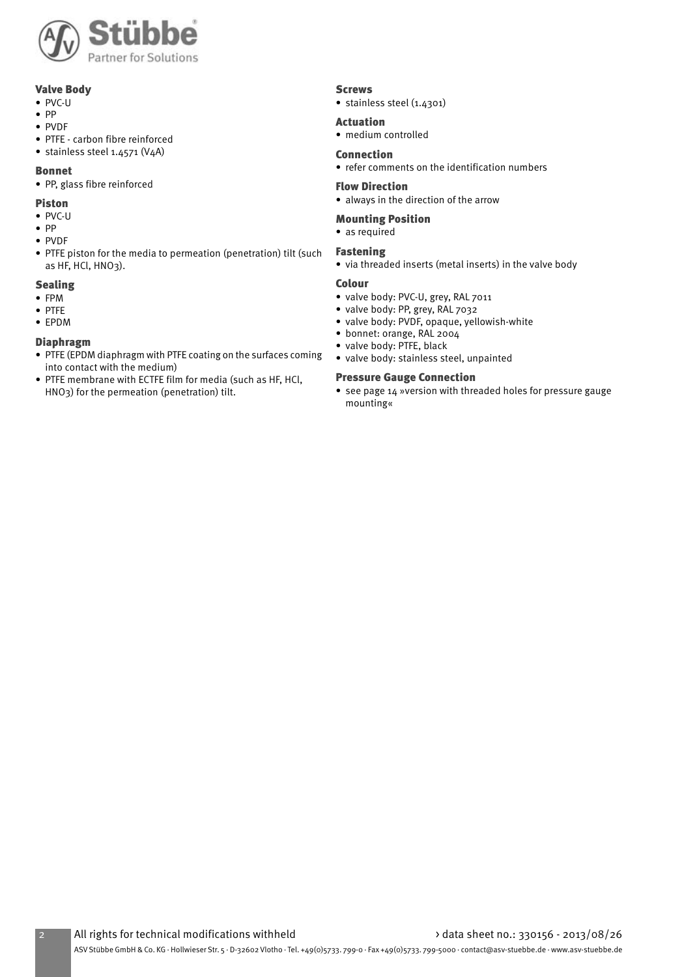

#### Valve Body

- PVC-U
- PP
- PVDF
- PTFE carbon fibre reinforced
- stainless steel 1.4571 (V4A)

#### Bonnet

• PP, glass fibre reinforced

#### Piston

- PVC-U
- PP
- PVDF
- PTFE piston for the media to permeation (penetration) tilt (such as HF, HCl, HNO3).

### Sealing

- FPM
- PTFE
- EPDM

#### Diaphragm

- PTFE (EPDM diaphragm with PTFE coating on the surfaces coming into contact with the medium)
- PTFE membrane with ECTFE film for media (such as HF, HCl, HNO3) for the permeation (penetration) tilt.

#### Screws

• stainless steel (1.4301)

#### Actuation

• medium controlled

#### Connection

• refer comments on the identification numbers

#### Flow Direction

• always in the direction of the arrow

#### Mounting Position

• as required

#### Fastening

• via threaded inserts (metal inserts) in the valve body

#### Colour

- valve body: PVC-U, grey, RAL 7011
- valve body: PP, grey, RAL 7032
- valve body: PVDF, opaque, yellowish-white
- bonnet: orange, RAL 2004
- valve body: PTFE, black
- valve body: stainless steel, unpainted

#### Pressure Gauge Connection

• see page 14 »version with threaded holes for pressure gauge mounting«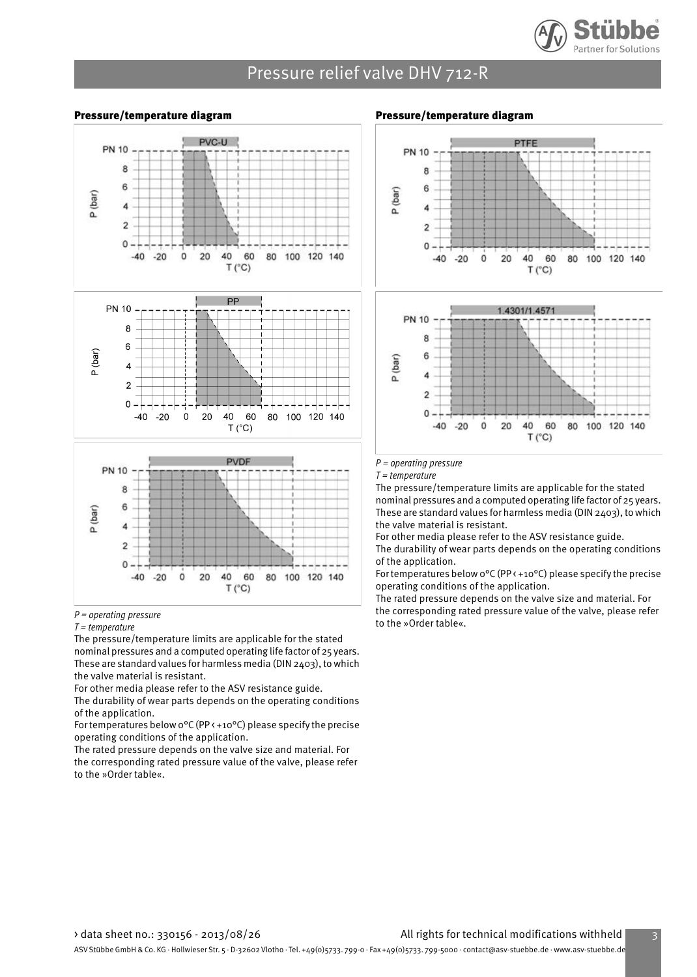

#### Pressure/temperature diagram



#### $P =$  operating pressure

#### $T = temperature$

The pressure/temperature limits are applicable for the stated nominal pressures and a computed operating life factor of 25 years. These are standard values for harmless media (DIN 2403), to which the valve material is resistant.

For other media please refer to the ASV resistance guide. The durability of wear parts depends on the operating conditions of the application.

For temperatures below 0°C (PP < +10°C) please specify the precise operating conditions of the application.

The rated pressure depends on the valve size and material. For the corresponding rated pressure value of the valve, please refer to the »Order table«.

#### Pressure/temperature diagram



 $P =$  operating pressure

 $T = temperature$ 

The pressure/temperature limits are applicable for the stated nominal pressures and a computed operating life factor of 25 years. These are standard values for harmless media (DIN 2403), to which the valve material is resistant.

For other media please refer to the ASV resistance guide. The durability of wear parts depends on the operating conditions of the application.

For temperatures below 0°C (PP < +10°C) please specify the precise operating conditions of the application.

The rated pressure depends on the valve size and material. For the corresponding rated pressure value of the valve, please refer to the »Order table«.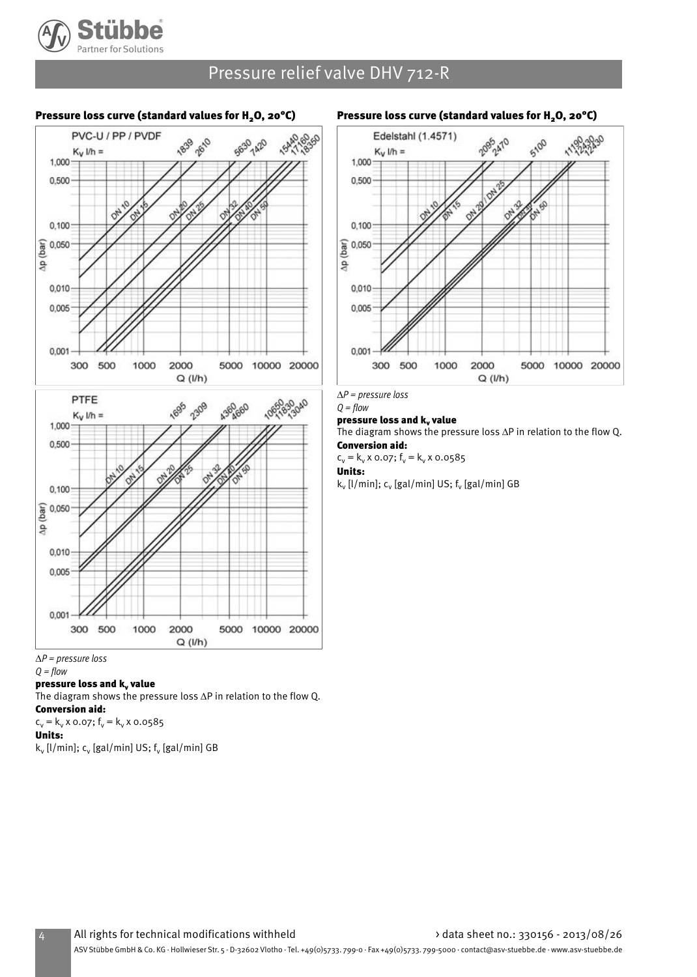

#### Pressure loss curve (standard values for  $H<sub>2</sub>O$ , 20°C)





#### $Q = flow$

pressure loss and k<sub>v</sub> value

The diagram shows the pressure loss ∆P in relation to the flow Q. Conversion aid:

 $c_v = k_v \times 0.07$ ;  $f_v = k_v \times 0.0585$ 

#### Units:

k<sub>v</sub> [l/min]; c<sub>v</sub> [gal/min] US; f<sub>v</sub> [gal/min] GB

#### Pressure loss curve (standard values for  $H<sub>2</sub>O$ , 20°C)



*∆*P = pressure loss

#### $Q = flow$ pressure loss and  $k_v$  value

The diagram shows the pressure loss ∆P in relation to the flow Q.

Conversion aid:

#### $c_v = k_v \times 0.07$ ;  $f_v = k_v \times 0.0585$

Units: k<sub>v</sub> [l/min]; c<sub>v</sub> [gal/min] US; f<sub>v</sub> [gal/min] GB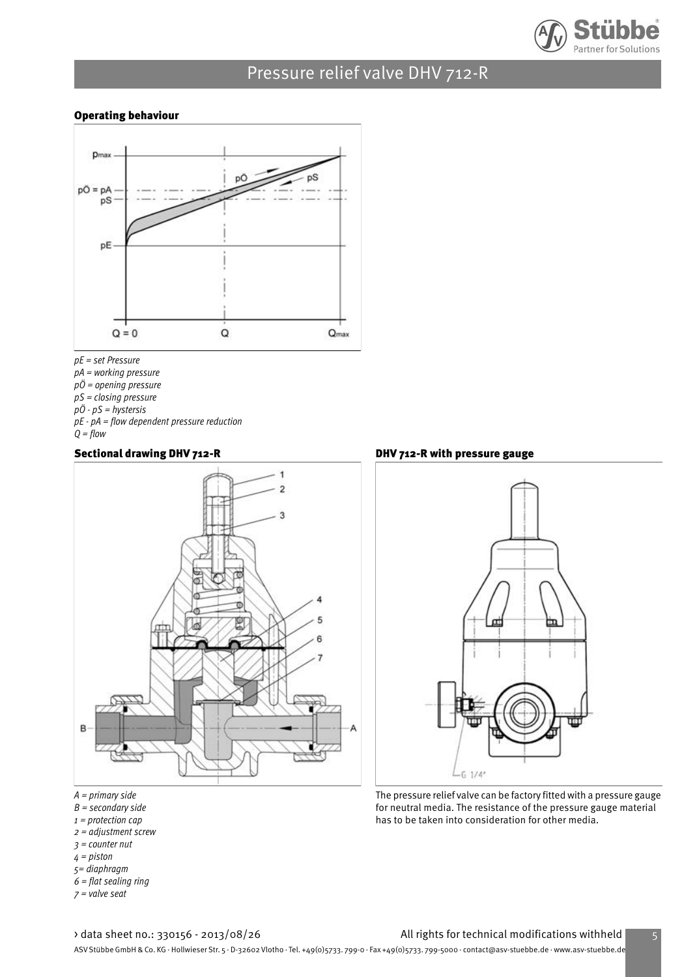

#### Operating behaviour



pE = set Pressure  $pA = working pressure$ pÖ = opening pressure pS = closing pressure  $p\ddot{o}$  -  $pS$  = hystersis pE - pA = flow dependent pressure reduction  $Q = flow$ 

#### Sectional drawing DHV 712-R



- $A = primary side$
- $B =$  secondary side
- $1$  = protection cap
- 2 = adjustment screw
- 3 = counter nut
- 4 = piston
- 5= diaphragm
- $6$  = flat sealing ring
- $7$  = valve seat

DHV 712-R with pressure gauge



The pressure relief valve can be factory fitted with a pressure gauge for neutral media. The resistance of the pressure gauge material has to be taken into consideration for other media.

#### > data sheet no.: 330156 - 2013/08/26 All rights for technical modifications withheld 5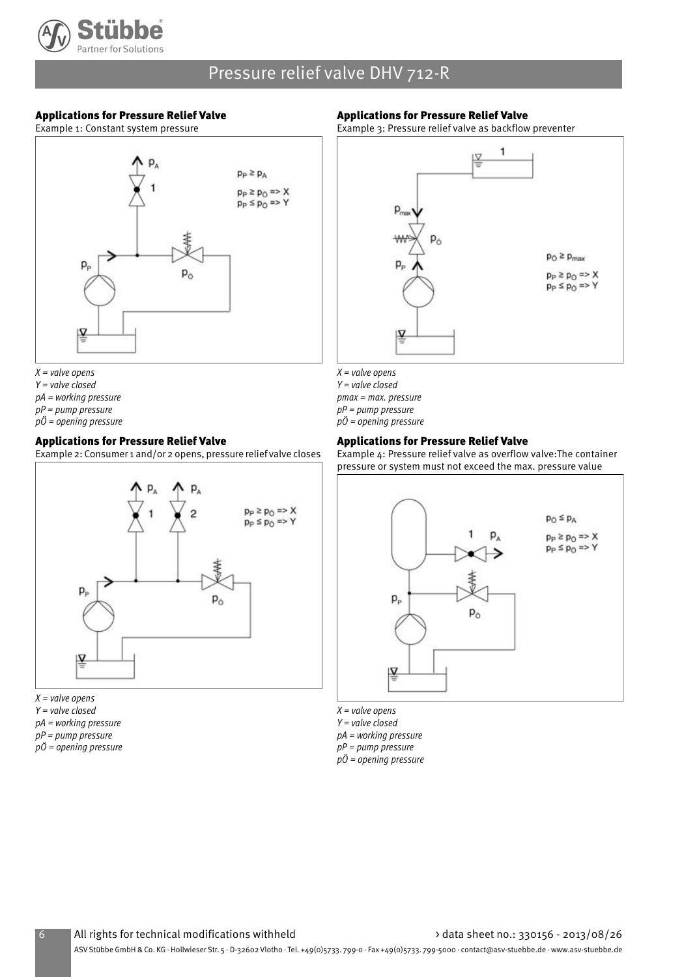

#### Applications for Pressure Relief Valve

Example 1: Constant system pressure

#### Applications for Pressure Relief Valve

Example 3: Pressure relief valve as backflow preventer



- $X =$  valve opens
- $Y = value closed$
- pA = working pressure
- $pP = pump$  pressure
- pÖ = opening pressure

#### Applications for Pressure Relief Valve

Example 2: Consumer 1 and/or 2 opens, pressure relief valve closes



- $X =$  valve opens  $Y = value closed$ pA = working pressure
- $pP = pump$  pressure pÖ = opening pressure
- 



- $X =$  valve opens
- $Y = value closed$
- pmax = max. pressure
- $pP = pump$  pressure
- $p\ddot{o}$  = opening pressure

#### Applications for Pressure Relief Valve

Example 4: Pressure relief valve as overflow valve:The container pressure or system must not exceed the max. pressure value



 $X = value$  opens Y = valve closed pA = working pressure pP = pump pressure  $p\ddot{o}$  = opening pressure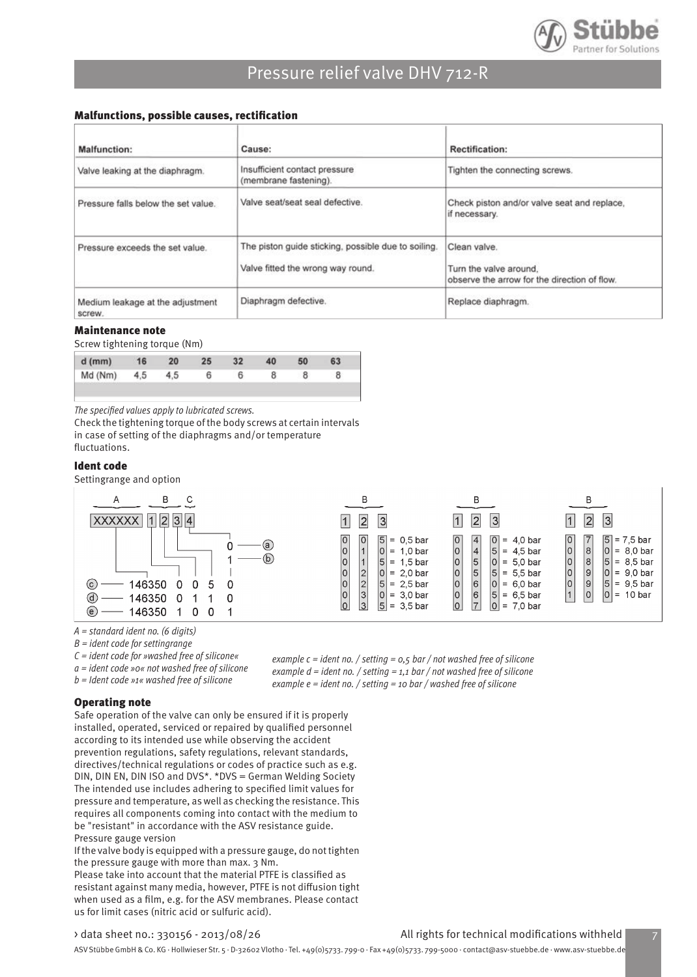

#### Malfunctions, possible causes, rectification

| Malfunction:                               | Cause:                                                                                   | Rectification:                                                                         |
|--------------------------------------------|------------------------------------------------------------------------------------------|----------------------------------------------------------------------------------------|
| Valve leaking at the diaphragm.            | Insufficient contact pressure<br>(membrane fastening).                                   | Tighten the connecting screws.                                                         |
| Pressure falls below the set value.        | Valve seat/seat seal defective.                                                          | Check piston and/or valve seat and replace,<br>if necessary.                           |
| Pressure exceeds the set value.            | The piston guide sticking, possible due to soiling.<br>Valve fitted the wrong way round. | Clean valve.<br>Turn the valve around.<br>observe the arrow for the direction of flow. |
| Medium leakage at the adjustment<br>screw. | Diaphragm defective.                                                                     | Replace diaphragm.                                                                     |

#### Maintenance note

Screw tightening torque (Nm)

| $d$ (mm)        | 16 | 20 | 25 | 32 <sup>2</sup> | 40 | 50 |  |
|-----------------|----|----|----|-----------------|----|----|--|
| Md (Nm) 4,5 4,5 |    |    | 6  |                 |    |    |  |

The specified values apply to lubricated screws.

Check the tightening torque of the body screws at certain intervals in case of setting of the diaphragms and/or temperature fluctuations.

#### Ident code

Settingrange and option



A = standard ident no. (6 digits)

 $B =$  ident code for settingrange

- $C =$  ident code for »washed free of silicone«
- a = ident code »0« not washed free of silicone b = Ident code »1« washed free of silicone

example  $c$  = ident no. / setting =  $0.5$  bar / not washed free of silicone example  $d$  = ident no. / setting = 1,1 bar / not washed free of silicone

example  $e =$  ident no. / setting = 10 bar / washed free of silicone

#### Operating note

Safe operation of the valve can only be ensured if it is properly installed, operated, serviced or repaired by qualified personnel according to its intended use while observing the accident prevention regulations, safety regulations, relevant standards, directives/technical regulations or codes of practice such as e.g. DIN, DIN EN, DIN ISO and DVS\*. \*DVS = German Welding Society The intended use includes adhering to specified limit values for pressure and temperature, as well as checking the resistance. This requires all components coming into contact with the medium to be "resistant" in accordance with the ASV resistance guide. Pressure gauge version

If the valve body is equipped with a pressure gauge, do not tighten the pressure gauge with more than max. 3 Nm.

Please take into account that the material PTFE is classified as resistant against many media, however, PTFE is not diffusion tight when used as a film, e.g. for the ASV membranes. Please contact us for limit cases (nitric acid or sulfuric acid).

#### > data sheet no.: 330156 - 2013/08/26 All rights for technical modifications withheld 7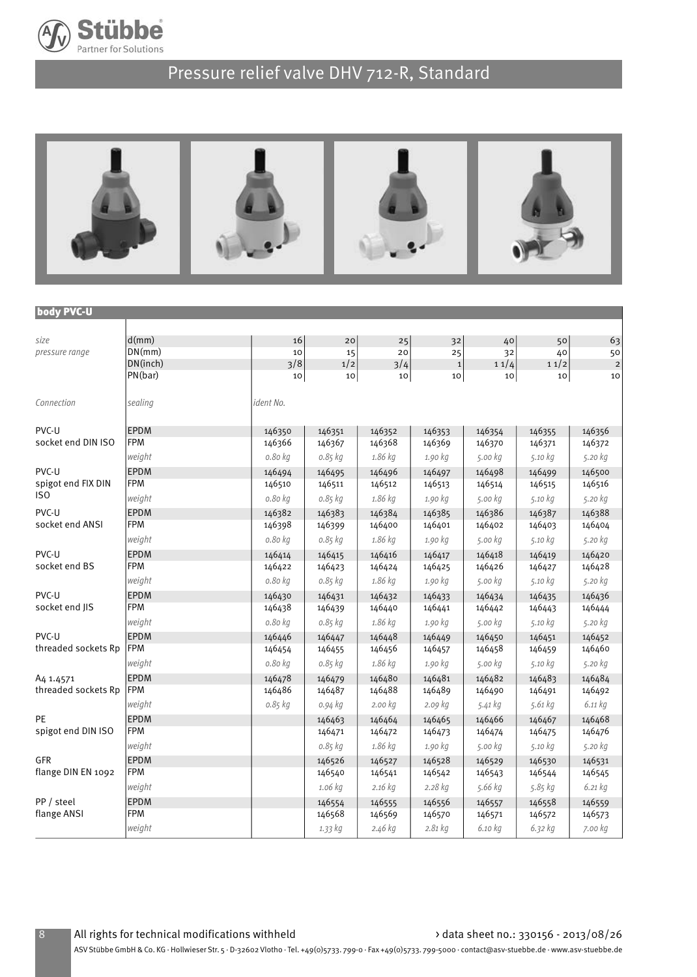



#### body PVC-U

| size                   | d(mm)      | 16        | 20          | 25              | 32          | 40      | 50      | 63          |
|------------------------|------------|-----------|-------------|-----------------|-------------|---------|---------|-------------|
| pressure range         | DN(mm)     | 10        | 15          | 20              | 25          | 32      | 40      | 50          |
|                        | DN(inch)   | 3/8       | 1/2         | 3/4             | $\mathbf 1$ | 11/4    | 11/2    | $\mathbf 2$ |
|                        | PN(bar)    | 10        | $10\,$      | 10 <sup>1</sup> | 10          | 10      | 10      | 10          |
| Connection             | sealing    | ident No. |             |                 |             |         |         |             |
| PVC-U                  | EPDM       | 146350    | 146351      | 146352          | 146353      | 146354  | 146355  | 146356      |
| socket end DIN ISO     | <b>FPM</b> | 146366    | 146367      | 146368          | 146369      | 146370  | 146371  | 146372      |
|                        | weight     | 0.80 kg   | 0.85 kg     | 1.86 kg         | 1.90 kg     | 5.00 kg | 5.10 kg | 5.20 kg     |
| PVC-U                  | EPDM       | 146494    | 146495      | 146496          | 146497      | 146498  | 146499  | 146500      |
| spigot end FIX DIN     | <b>FPM</b> | 146510    | 146511      | 146512          | 146513      | 146514  | 146515  | 146516      |
| IS <sub>0</sub>        | weight     | 0.80 kg   | $0.85$ $kg$ | 1.86 kg         | 1.90 kg     | 5.00 kg | 5.10 kg | 5.20 kg     |
| PVC-U                  | EPDM       | 146382    | 146383      | 146384          | 146385      | 146386  | 146387  | 146388      |
| socket end ANSI        | <b>FPM</b> | 146398    | 146399      | 146400          | 146401      | 146402  | 146403  | 146404      |
|                        | weight     | 0.80 kg   | 0.85 kg     | 1.86 kg         | 1.90 kg     | 5.00 kg | 5.10 kg | 5.20 kg     |
| PVC-U<br>socket end BS | EPDM       | 146414    | 146415      | 146416          | 146417      | 146418  | 146419  | 146420      |
|                        | <b>FPM</b> | 146422    | 146423      | 146424          | 146425      | 146426  | 146427  | 146428      |
|                        | weight     | 0.80 kg   | 0.85 kg     | 1.86 kg         | 1.90 kg     | 5.00 kg | 5.10 kg | 5.20 kg     |
| PVC-U                  | EPDM       | 146430    | 146431      | 146432          | 146433      | 146434  | 146435  | 146436      |
| socket end IIS         | <b>FPM</b> | 146438    | 146439      | 146440          | 146441      | 146442  | 146443  | 146444      |
|                        | weight     | 0.80 kg   | 0.85 kg     | 1.86 kg         | 1.90 kg     | 5.00 kg | 5.10 kg | 5.20 kg     |
| PVC-U                  | EPDM       | 146446    | 146447      | 146448          | 146449      | 146450  | 146451  | 146452      |
| threaded sockets Rp    | FPM        | 146454    | 146455      | 146456          | 146457      | 146458  | 146459  | 146460      |
|                        | weight     | 0.80 kg   | 0.85 kg     | 1.86 kg         | 1.90 kg     | 5.00 kg | 5.10 kg | 5.20 kg     |
| A <sub>4</sub> 1.4571  | EPDM       | 146478    | 146479      | 146480          | 146481      | 146482  | 146483  | 146484      |
| threaded sockets Rp    | FPM        | 146486    | 146487      | 146488          | 146489      | 146490  | 146491  | 146492      |
|                        | weight     | 0.85 kg   | 0.94 kg     | 2.00 kg         | 2.09 kg     | 5.41 kg | 5.61 kg | 6.11 kg     |
| PF                     | EPDM       |           | 146463      | 146464          | 146465      | 146466  | 146467  | 146468      |
| spigot end DIN ISO     | <b>FPM</b> |           | 146471      | 146472          | 146473      | 146474  | 146475  | 146476      |
|                        | weight     |           | $0.85$ $kg$ | 1.86 kg         | 1.90 kg     | 5.00 kg | 5.10 kg | 5.20 kg     |
| <b>GFR</b>             | EPDM       |           | 146526      | 146527          | 146528      | 146529  | 146530  | 146531      |
| flange DIN EN 1092     | FPM        |           | 146540      | 146541          | 146542      | 146543  | 146544  | 146545      |
|                        | weight     |           | 1.06 kg     | 2.16 kg         | 2.28 kg     | 5.66 kg | 5.85 kg | 6.21 kg     |
| PP / steel             | EPDM       |           | 146554      | 146555          | 146556      | 146557  | 146558  | 146559      |
| flange ANSI            | <b>FPM</b> |           | 146568      | 146569          | 146570      | 146571  | 146572  | 146573      |
|                        | weight     |           | 1.33 kg     | 2.46 kg         | 2.81 kg     | 6.10 kg | 6.32 kg | 7.00 kg     |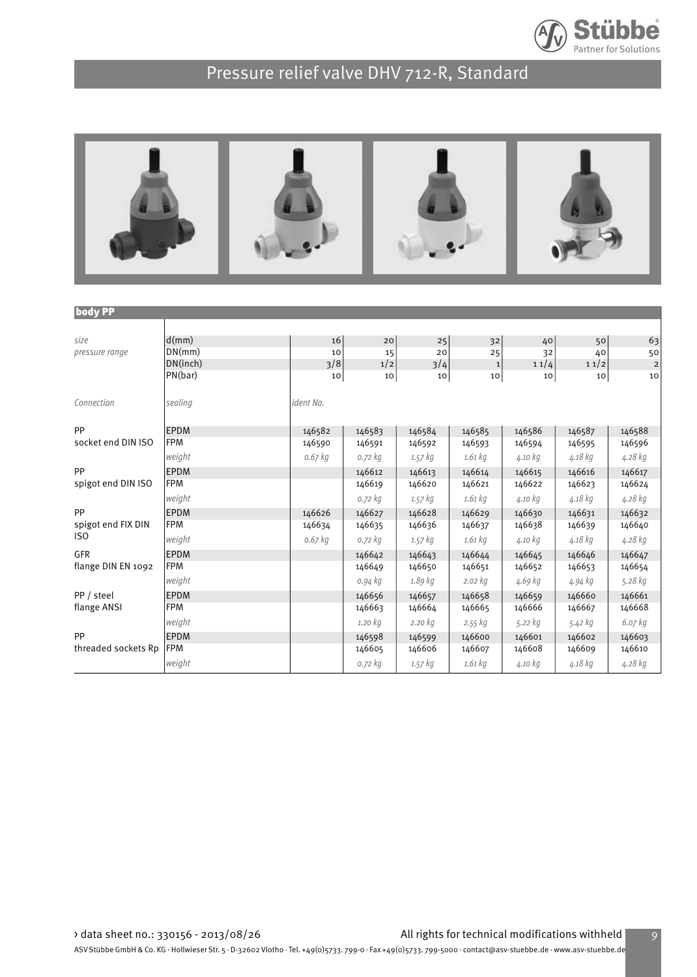



| <b>body PP</b>      |             |           |         |             |             |         |         |                |
|---------------------|-------------|-----------|---------|-------------|-------------|---------|---------|----------------|
|                     |             |           |         |             |             |         |         |                |
| size                | d(mm)       | 16        | 20      | 25          | 32          | 40      | 50      | 63             |
| pressure range      | DN(mm)      | 10        | 15      | 20          | 25          | 32      | 40      | 50             |
|                     | DN(inch)    | 3/8       | 1/2     | 3/4         | $\mathbf 1$ | 11/4    | 11/2    | $\overline{c}$ |
|                     | PN(bar)     | 10        | 10      | 10          | 10          | 10      | 10      | 10             |
| Connection          | sealing     | ident No. |         |             |             |         |         |                |
| PP                  | <b>EPDM</b> | 146582    | 146583  | 146584      | 146585      | 146586  | 146587  | 146588         |
| socket end DIN ISO  | <b>FPM</b>  | 146590    | 146591  | 146592      | 146593      | 146594  | 146595  | 146596         |
|                     | weight      | $0.67$ kg | 0.72 kg | $1.57$ $kg$ | 1.61 kg     | 4.10 kg | 4.18 kg | 4.28 kg        |
| PP                  | <b>EPDM</b> |           | 146612  | 146613      | 146614      | 146615  | 146616  | 146617         |
| spigot end DIN ISO  | <b>FPM</b>  |           | 146619  | 146620      | 146621      | 146622  | 146623  | 146624         |
|                     | weight      |           | 0.72 kg | $1.57$ $kg$ | 1.61 kg     | 4.10 kg | 4.18 kg | 4.28 kg        |
| PP                  | <b>EPDM</b> | 146626    | 146627  | 146628      | 146629      | 146630  | 146631  | 146632         |
| spigot end FIX DIN  | <b>FPM</b>  | 146634    | 146635  | 146636      | 146637      | 146638  | 146639  | 146640         |
| IS <sub>0</sub>     | weight      | $0.67$ kg | 0.72 kg | 1.57 kg     | 1.61 kg     | 4.10 kg | 4.18 kg | 4.28 kg        |
| GFR                 | <b>EPDM</b> |           | 146642  | 146643      | 146644      | 146645  | 146646  | 146647         |
| flange DIN EN 1092  | <b>FPM</b>  |           | 146649  | 146650      | 146651      | 146652  | 146653  | 146654         |
|                     | weight      |           | 0.94 kg | 1.89 kg     | $2.02$ $kg$ | 4.69 kg | 4.94 kg | 5.28 kg        |
| PP / steel          | <b>EPDM</b> |           | 146656  | 146657      | 146658      | 146659  | 146660  | 146661         |
| flange ANSI         | <b>FPM</b>  |           | 146663  | 146664      | 146665      | 146666  | 146667  | 146668         |
|                     | weight      |           | 1.20 kg | 2.20 kg     | 2.55 kg     | 5.22 kg | 5.42 kg | 6.07 kg        |
| PP                  | EPDM        |           | 146598  | 146599      | 146600      | 146601  | 146602  | 146603         |
| threaded sockets Rp | <b>FPM</b>  |           | 146605  | 146606      | 146607      | 146608  | 146609  | 146610         |
|                     | weight      |           | 0.72 kg | 1.57 kg     | $1.61$ kg   | 4.10 kg | 4.18 kg | 4.28 kg        |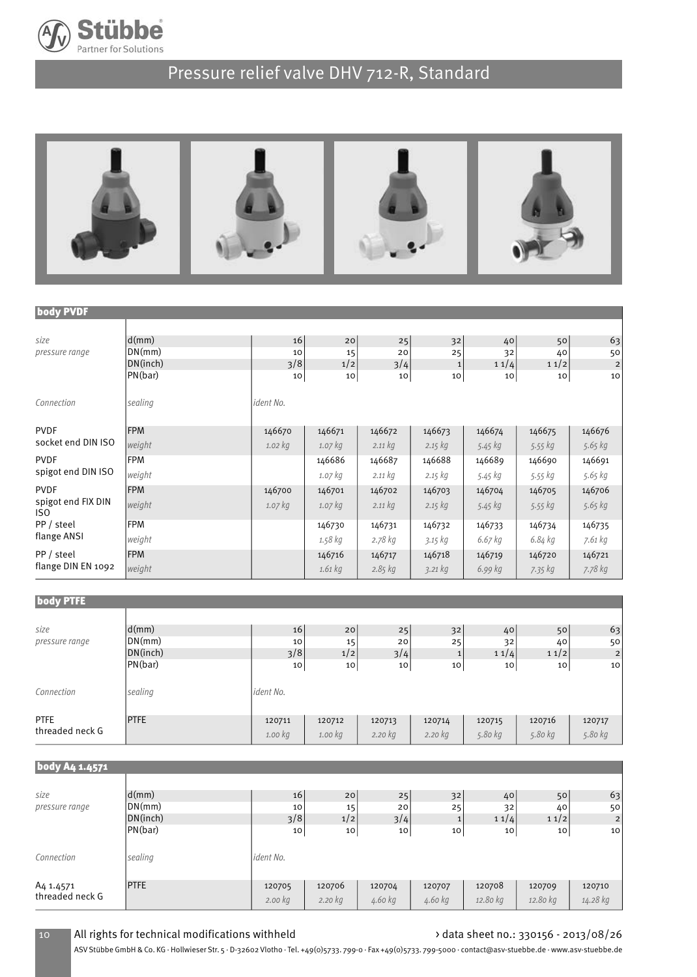



#### body PVDF

| size                       | d(mm)      | 16        | 20        | 25          | 32           | 40      | 50              | 63                      |
|----------------------------|------------|-----------|-----------|-------------|--------------|---------|-----------------|-------------------------|
| pressure range             | DN(mm)     | 10        | 15        | 20          | 25           | 32      | 40              | 50                      |
|                            | DN(inch)   | 3/8       | 1/2       | 3/4         | $\mathbf{1}$ | 11/4    | 11/2            | $\overline{\mathbf{c}}$ |
|                            | PN(bar)    | 10        | 10        | 10          | 10           | 10      | 10 <sup>1</sup> | 10                      |
| Connection                 | sealing    | ident No. |           |             |              |         |                 |                         |
| <b>PVDF</b>                | <b>FPM</b> | 146670    | 146671    | 146672      | 146673       | 146674  | 146675          | 146676                  |
| socket end DIN ISO         | weight     | $1.02$ kg | $1.07$ kg | 2.11 kg     | $2.15$ kg    | 5.45 kg | 5.55 kg         | 5.65 kg                 |
| <b>PVDF</b>                | <b>FPM</b> |           | 146686    | 146687      | 146688       | 146689  | 146690          | 146691                  |
| spigot end DIN ISO         | weight     |           | 1.07 kg   | 2.11 kg     | 2.15 kg      | 5.45 kg | 5.55 kg         | 5.65 kg                 |
| <b>PVDF</b>                | <b>FPM</b> | 146700    | 146701    | 146702      | 146703       | 146704  | 146705          | 146706                  |
| spigot end FIX DIN<br>ISO. | weight     | $1.07$ kg | $1.07$ kg | 2.11 kg     | $2.15$ kg    | 5.45 kg | 5.55 kg         | 5.65 kg                 |
| PP / steel                 | <b>FPM</b> |           | 146730    | 146731      | 146732       | 146733  | 146734          | 146735                  |
| flange ANSI                | weight     |           | 1.58 kg   | 2.78 kg     | 3.15 kg      | 6.67 kg | 6.84 kg         | 7.61 kg                 |
| PP / steel                 | <b>FPM</b> |           | 146716    | 146717      | 146718       | 146719  | 146720          | 146721                  |
| flange DIN EN 1092         | weight     |           | $1.61$ kg | $2.85$ $kg$ | 3.21 kg      | 6.99 kg | 7.35 kg         | 7.78 kg                 |

| <b>body PTFE</b>          |                             |                     |                 |                 |           |            |                  |                 |
|---------------------------|-----------------------------|---------------------|-----------------|-----------------|-----------|------------|------------------|-----------------|
| size<br>pressure range    | d(mm)<br>DN(mm)<br>DN(inch) | 16<br>10<br>3/8     | 20<br>15<br>1/2 | 25<br>20<br>3/4 | 32<br>25  | 40<br>32   | 50<br>40<br>11/2 | 63<br>50<br>2   |
|                           | PN(bar)                     | 10                  | 10 <sub>1</sub> | 10              | 10        | 11/4<br>10 | 10 <sub>1</sub>  | 10 <sup>1</sup> |
| Connection<br><b>PTFE</b> | sealing<br><b>PTFE</b>      | ident No.<br>120711 | 120712          | 120713          | 120714    | 120715     | 120716           | 120717          |
| threaded neck G           |                             | 1.00 kg             | 1.00 kg         | 2.20 kg         | $2.20$ kg | 5.80 kg    | 5.80 kg          | 5.80 kg         |

| body A4 1.4571                           |             |                   |                   |                   |                   |                    |                    |                    |
|------------------------------------------|-------------|-------------------|-------------------|-------------------|-------------------|--------------------|--------------------|--------------------|
| size                                     | d(mm)       | 16                |                   |                   |                   |                    |                    |                    |
| pressure range                           | DN(mm)      | 10                | 20<br>15          | 25<br>20          | 32<br>25          | 40<br>32           | 50<br>40           | 63<br>50           |
|                                          | DN(inch)    | 3/8               | 1/2               | 3/4               |                   | 11/4               | 11/2               | 2                  |
|                                          | PN(bar)     | 10                | 10                | 10                | 10                | 10                 | 10                 | 10 <sup>1</sup>    |
| Connection                               | sealing     | ident No.         |                   |                   |                   |                    |                    |                    |
| A <sub>4</sub> 1.4571<br>threaded neck G | <b>PTFE</b> | 120705<br>2.00 kg | 120706<br>2.20 kg | 120704<br>4.60 kg | 120707<br>4.60 kg | 120708<br>12.80 kg | 120709<br>12.80 kg | 120710<br>14.28 kg |

#### 10 All rights for technical modifications withheld  $\overrightarrow{a}$  data sheet no.: 330156 - 2013/08/26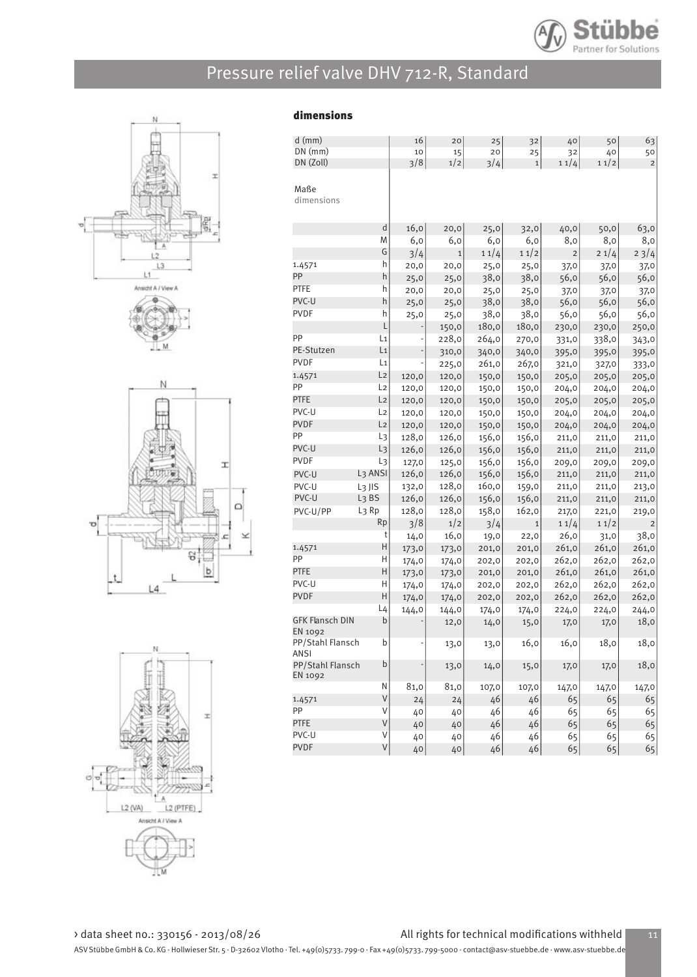

dimensions









| $d$ (mm)                                 |                     | 16            | 20           | 25    | 32          | 40    | 50    | 63             |
|------------------------------------------|---------------------|---------------|--------------|-------|-------------|-------|-------|----------------|
| $DN$ (mm)                                |                     | 10            | 15           | 20    | 25          | 32    | 40    | 50             |
| DN (Zoll)                                |                     | 3/8           | 1/2          | 3/4   | $\mathbf 1$ | 11/4  | 11/2  | $\overline{c}$ |
| Maße<br>dimensions                       |                     |               |              |       |             |       |       |                |
|                                          | d                   |               |              |       |             |       |       |                |
|                                          | M                   | 16,0          | 20,0         | 25,0  | 32,0        | 40,0  | 50,0  | 63,0           |
|                                          | G                   | 6,0           | 6,0          | 6,0   | 6,0         | 8,0   | 8,0   | 8,0            |
|                                          |                     | 3/4           | $\mathbf{1}$ | 11/4  | 11/2        | 2     | 21/4  | 23/4           |
| 1.4571<br>PP                             | h                   | 20,0          | 20,0         | 25,0  | 25,0        | 37,0  | 37,0  | 37,0           |
|                                          | h                   | 25,0          | 25,0         | 38,0  | 38,0        | 56,0  | 56,0  | 56,0           |
| <b>PTFE</b>                              | h                   | 20,0          | 20,0         | 25,0  | 25,0        | 37,0  | 37,0  | 37,0           |
| PVC-U                                    | h                   | 25,0          | 25,0         | 38,0  | 38,0        | 56,0  | 56,0  | 56,0           |
| <b>PVDF</b>                              | h                   | 25,0          | 25,0         | 38,0  | 38,0        | 56,0  | 56,0  | 56,0           |
|                                          | L                   |               | 150,0        | 180,0 | 180,0       | 230,0 | 230,0 | 250,0          |
| PP                                       | L1                  |               | 228,0        | 264,0 | 270,0       | 331,0 | 338,0 | 343,0          |
| PE-Stutzen                               | L <sub>1</sub>      | $\frac{1}{2}$ | 310,0        | 340,0 | 340,0       | 395,0 | 395,0 | 395,0          |
| <b>PVDF</b>                              | L1                  |               | 225,0        | 261,0 | 267,0       | 321,0 | 327,0 | 333,0          |
| 1.4571                                   | L <sub>2</sub>      | 120,0         | 120,0        | 150,0 | 150,0       | 205,0 | 205,0 | 205,0          |
| PP                                       | L <sub>2</sub>      | 120,0         | 120,0        | 150,0 | 150,0       | 204,0 | 204,0 | 204,0          |
| <b>PTFE</b>                              | L <sub>2</sub>      | 120,0         | 120,0        | 150,0 | 150,0       | 205,0 | 205,0 | 205,0          |
| PVC-U                                    | L2                  | 120,0         | 120,0        | 150,0 | 150,0       | 204,0 | 204,0 | 204,0          |
| <b>PVDF</b>                              | L <sub>2</sub>      | 120,0         | 120,0        | 150,0 | 150,0       | 204,0 | 204,0 | 204,0          |
| PP                                       | L3                  | 128,0         | 126,0        | 156,0 | 156,0       | 211,0 | 211,0 | 211,0          |
| PVC-U                                    | L <sub>3</sub>      | 126,0         | 126,0        | 156,0 | 156,0       | 211,0 | 211,0 | 211,0          |
| <b>PVDF</b>                              | L3                  | 127,0         | 125,0        | 156,0 | 156,0       | 209,0 | 209,0 | 209,0          |
| PVC-U                                    | L <sub>3</sub> ANSI | 126,0         | 126,0        | 156,0 | 156,0       | 211,0 | 211,0 | 211,0          |
| PVC-U                                    | L <sub>3</sub> JIS  | 132,0         | 128,0        | 160,0 | 159,0       | 211,0 | 211,0 |                |
| PVC-U                                    | L <sub>3</sub> BS   | 126,0         | 126,0        |       |             |       |       | 213,0          |
|                                          | L <sub>3</sub> Rp   |               |              | 156,0 | 156,0       | 211,0 | 211,0 | 211,0          |
| PVC-U/PP                                 |                     | 128,0         | 128,0        | 158,0 | 162,0       | 217,0 | 221,0 | 219,0          |
|                                          | Rp                  | 3/8           | 1/2          | 3/4   | $\mathbf 1$ | 11/4  | 11/2  | $\overline{c}$ |
|                                          | t                   | 14,0          | 16,0         | 19,0  | 22,0        | 26,0  | 31,0  | 38,0           |
| 1.4571                                   | Η                   | 173,0         | 173,0        | 201,0 | 201,0       | 261,0 | 261,0 | 261,0          |
| PP                                       | Η                   | 174,0         | 174,0        | 202,0 | 202,0       | 262,0 | 262,0 | 262,0          |
| <b>PTFE</b>                              | H                   | 173,0         | 173,0        | 201,0 | 201,0       | 261,0 | 261,0 | 261,0          |
| PVC-U                                    | Η                   | 174,0         | 174,0        | 202,0 | 202,0       | 262,0 | 262,0 | 262,0          |
| <b>PVDF</b>                              | H                   | 174,0         | 174,0        | 202,0 | 202,0       | 262,0 | 262,0 | 262,0          |
|                                          | L4                  | 144,0         | 144,0        | 174,0 | 174,0       | 224,0 | 224,0 | 244,0          |
| <b>GFK Flansch DIN</b><br><b>EN 1092</b> | $\mathsf b$         |               | 12,0         | 14,0  | 15,0        | 17,0  | 17,0  | 18,0           |
| PP/Stahl Flansch<br>ANSI                 | b                   |               | 13,0         | 13,0  | 16,0        | 16,0  | 18,0  | 18,0           |
| PP/Stahl Flansch<br>EN 1092              | $\sf b$             |               | 13,0         | 14,0  | 15,0        | 17,0  | 17,0  | 18,0           |
|                                          | Ν                   | 81,0          | 81,0         | 107,0 | 107,0       | 147,0 | 147,0 | 147,0          |
| 1.4571                                   | $\vee$              | 24            | 24           | 46    | 46          | 65    | 65    | 65             |
| PP                                       | $\vee$              | 40            | 40           | 46    | 46          | 65    | 65    | 65             |
| <b>PTFE</b>                              | $\sf V$             | 40            | 40           | 46    | 46          | 65    | 65    | 65             |
| PVC-U                                    | $\vee$              | 40            | 40           | 46    | 46          | 65    | 65    | 65             |
| <b>PVDF</b>                              | V                   | 40            | 40           | 46    | 46          | 65    | 65    | 65             |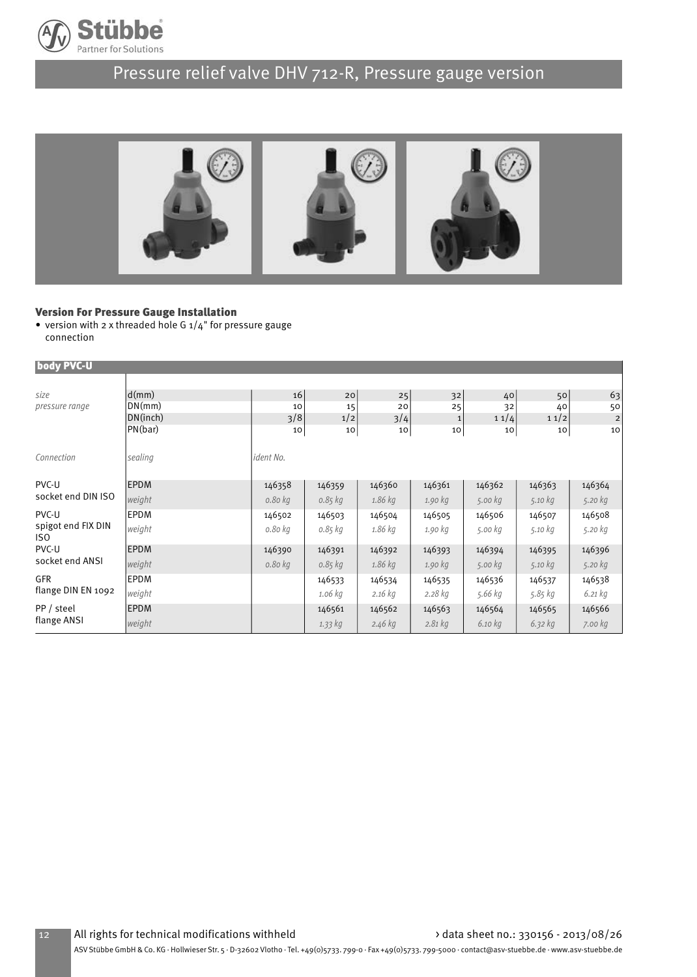

# Pressure relief valve DHV 712-R, Pressure gauge version



#### Version For Pressure Gauge Installation

• version with 2 x threaded hole G  $1/4$ " for pressure gauge connection

| body PVC-U                |             |           |             |           |              |         |                 |                         |
|---------------------------|-------------|-----------|-------------|-----------|--------------|---------|-----------------|-------------------------|
|                           |             |           |             |           |              |         |                 |                         |
| size                      | d(mm)       | 16        | 20          | 25        | 32           | 40      | 50              | 63                      |
| pressure range            | DN(mm)      | 10        | 15          | 20        | 25           | 32      | 40              | 50                      |
|                           | DN(inch)    | 3/8       | 1/2         | 3/4       | $\mathbf{1}$ | 11/4    | 11/2            | $\overline{\mathbf{c}}$ |
|                           | PN(bar)     | 10        | 10          | 10        | 10           | 10      | 10 <sub>1</sub> | 10                      |
| Connection                | sealing     | ident No. |             |           |              |         |                 |                         |
| PVC-U                     | <b>EPDM</b> | 146358    | 146359      | 146360    | 146361       | 146362  | 146363          | 146364                  |
| socket end DIN ISO        | weight      | 0.80 kg   | $0.85$ $kg$ | 1.86 kg   | 1.90 kg      | 5.00 kg | 5.10 kg         | 5.20 kg                 |
| PVC-U                     | <b>EPDM</b> | 146502    | 146503      | 146504    | 146505       | 146506  | 146507          | 146508                  |
| spigot end FIX DIN<br>ISO | weight      | 0.80 kg   | 0.85 kg     | 1.86 kg   | 1.90 kg      | 5.00 kg | 5.10 kg         | 5.20 kg                 |
| PVC-U                     | <b>EPDM</b> | 146390    | 146391      | 146392    | 146393       | 146394  | 146395          | 146396                  |
| socket end ANSI           | weight      | 0.80 kg   | 0.85 kg     | 1.86 kg   | 1.90 kg      | 5.00 kg | 5.10 kg         | 5.20 kg                 |
| <b>GFR</b>                | <b>EPDM</b> |           | 146533      | 146534    | 146535       | 146536  | 146537          | 146538                  |
| flange DIN EN 1092        | weight      |           | 1.06 kg     | $2.16$ kg | $2.28$ kg    | 5.66 kg | 5.85 kg         | $6.21$ $kg$             |
| PP / steel                | <b>EPDM</b> |           | 146561      | 146562    | 146563       | 146564  | 146565          | 146566                  |
| flange ANSI               | weight      |           | 1.33 kg     | $2.46$ kg | $2.81$ kg    | 6.10 kg | 6.32 kg         | 7.00 kg                 |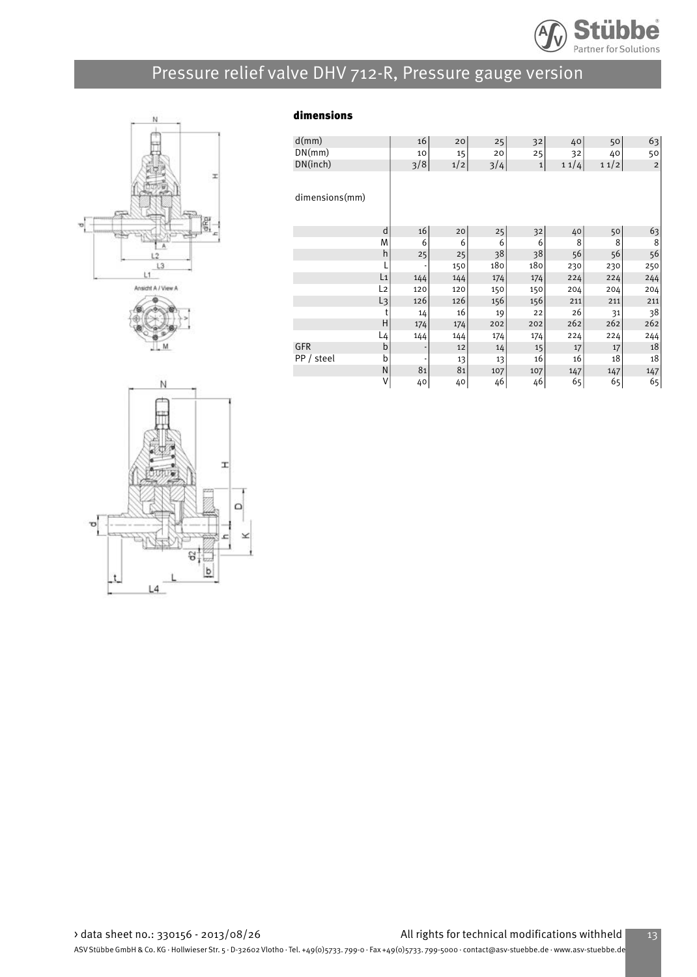

# Pressure relief valve DHV 712-R, Pressure gauge version







| d(mm)          |                | 16  | 20  | 25  | 32          | 40   | 50   | 63          |
|----------------|----------------|-----|-----|-----|-------------|------|------|-------------|
| DN(mm)         |                | 10  | 15  | 20  | 25          | 32   | 40   | 50          |
| DN(inch)       |                | 3/8 | 1/2 | 3/4 | $\mathbf 1$ | 11/4 | 11/2 | $\mathbf 2$ |
|                |                |     |     |     |             |      |      |             |
| dimensions(mm) |                |     |     |     |             |      |      |             |
|                |                |     |     |     |             |      |      |             |
|                | d              | 16  | 20  | 25  | 32          | 40   | 50   | 63          |
|                | M              | 6   | 6   | 6   | 6           | 8    | 8    | 8           |
|                | h              | 25  | 25  | 38  | 38          | 56   | 56   | 56          |
|                |                |     | 150 | 180 | 180         | 230  | 230  | 250         |
|                | L <sub>1</sub> | 144 | 144 | 174 | 174         | 224  | 224  | 244         |
|                | L <sub>2</sub> | 120 | 120 | 150 | 150         | 204  | 204  | 204         |
|                | L <sub>3</sub> | 126 | 126 | 156 | 156         | 211  | 211  | 211         |
|                | t              | 14  | 16  | 19  | 22          | 26   | 31   | 38          |
|                | H              | 174 | 174 | 202 | 202         | 262  | 262  | 262         |
|                | L4             | 144 | 144 | 174 | 174         | 224  | 224  | 244         |
| <b>GFR</b>     | b              | ٠   | 12  | 14  | 15          | 17   | 17   | 18          |
| PP / steel     | b              |     | 13  | 13  | 16          | 16   | 18   | 18          |
|                | N              | 81  | 81  | 107 | 107         | 147  | 147  | 147         |
|                | V              | 40  | 40  | 46  | 46          | 65   | 65   | 65          |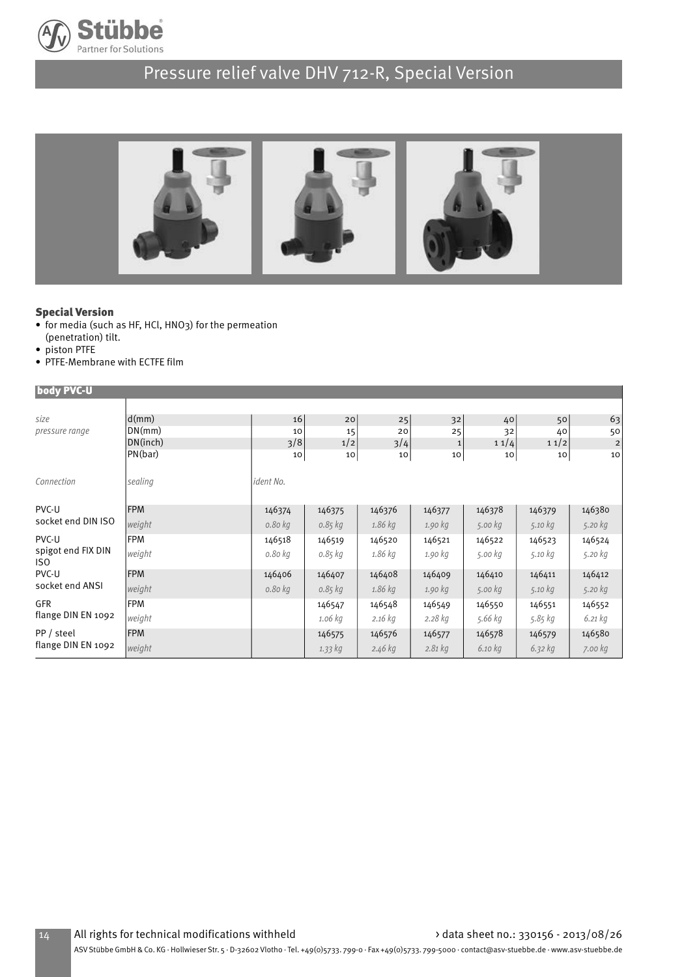

# Pressure relief valve DHV 712-R, Special Version



#### Special Version

- for media (such as HF, HCl, HNO3) for the permeation (penetration) tilt.
- piston PTFE
- PTFE-Membrane with ECTFE film

| body PVC-U                       |            |           |             |         |              |         |         |                |
|----------------------------------|------------|-----------|-------------|---------|--------------|---------|---------|----------------|
|                                  |            |           |             |         |              |         |         |                |
| size                             | d(mm)      | 16        | 20          | 25      | 32           | 40      | 50      | 63             |
| pressure range                   | DN(mm)     | 10        | 15          | 20      | 25           | 32      | 40      | 50             |
|                                  | DN(inch)   | 3/8       | 1/2         | 3/4     | $\mathbf{1}$ | 11/4    | 11/2    | $\overline{2}$ |
|                                  | PN(bar)    | 10        | 10          | 10      | 10           | 10      | 10      | 10             |
| Connection                       | sealing    | ident No. |             |         |              |         |         |                |
| PVC-U                            | <b>FPM</b> | 146374    | 146375      | 146376  | 146377       | 146378  | 146379  | 146380         |
| socket end DIN ISO               | weight     | 0.80 kg   | $0.85$ $kg$ | 1.86 kg | 1.90 kg      | 5.00 kg | 5.10 kg | 5.20 kg        |
| PVC-U                            | <b>FPM</b> | 146518    | 146519      | 146520  | 146521       | 146522  | 146523  | 146524         |
| spigot end FIX DIN<br>ISO.       | weight     | 0.80 kg   | 0.85 kg     | 1.86 kg | 1.90 kg      | 5.00 kg | 5.10 kg | 5.20 kg        |
| PVC-U                            | <b>FPM</b> | 146406    | 146407      | 146408  | 146409       | 146410  | 146411  | 146412         |
| socket end ANSI                  | weight     | 0.80 kg   | $0.85$ $kg$ | 1.86 kg | 1.90 kg      | 5.00 kg | 5.10 kg | 5.20 kg        |
| <b>GFR</b>                       | <b>FPM</b> |           | 146547      | 146548  | 146549       | 146550  | 146551  | 146552         |
| flange DIN EN 1092               | weight     |           | 1.06 kg     | 2.16 kg | $2.28$ kg    | 5.66 kg | 5.85 kg | $6.21$ $kg$    |
| PP / steel<br>flange DIN EN 1092 | <b>FPM</b> |           | 146575      | 146576  | 146577       | 146578  | 146579  | 146580         |
|                                  | weight     |           | 1.33 kg     | 2.46 kg | $2.81$ kg    | 6.10 kg | 6.32 kg | 7.00 kg        |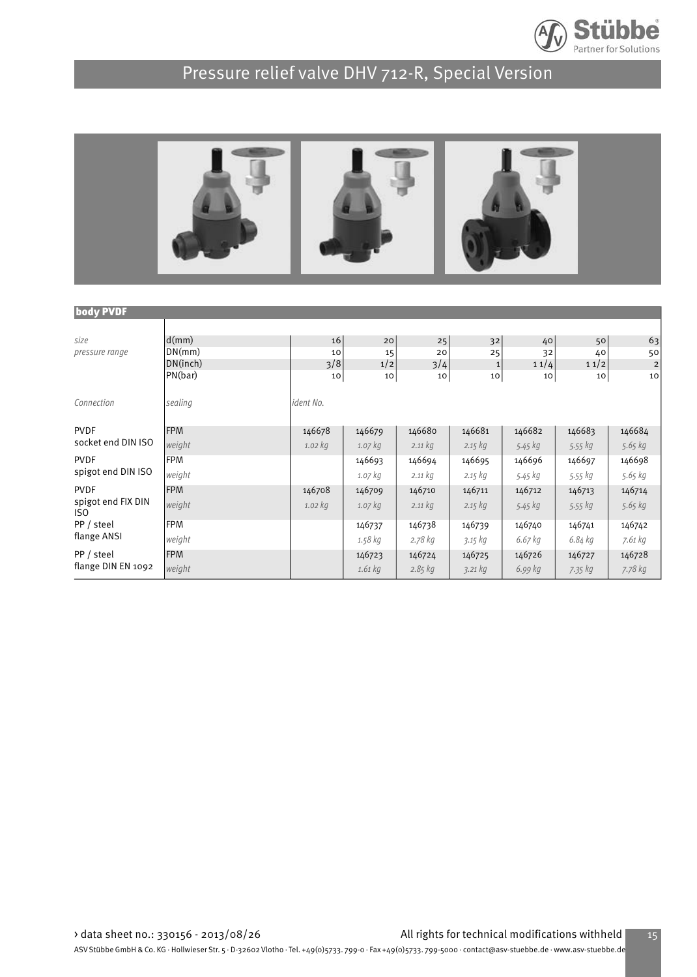

# Pressure relief valve DHV 712-R, Special Version



| <b>body PVDF</b>          |            |             |           |             |              |         |         |                |
|---------------------------|------------|-------------|-----------|-------------|--------------|---------|---------|----------------|
|                           |            |             |           |             |              |         |         |                |
| size                      | d(mm)      | 16          | 20        | 25          | 32           | 40      | 50      | 63             |
| pressure range            | DN(mm)     | 10          | 15        | 20          | 25           | 32      | 40      | 50             |
|                           | DN(inch)   | 3/8         | 1/2       | 3/4         | $\mathbf{1}$ | 11/4    | 11/2    | $\overline{c}$ |
|                           | PN(bar)    | 10          | 10        | 10          | 10           | 10      | 10      | 10             |
|                           |            |             |           |             |              |         |         |                |
| Connection                | sealing    | ident No.   |           |             |              |         |         |                |
|                           |            |             |           |             |              |         |         |                |
| <b>PVDF</b>               | <b>FPM</b> | 146678      | 146679    | 146680      | 146681       | 146682  | 146683  | 146684         |
| socket end DIN ISO        | weight     | $1.02$ $kg$ | 1.07 kg   | 2.11 kg     | $2.15$ $kg$  | 5.45 kg | 5.55 kg | 5.65 kg        |
| <b>PVDF</b>               | <b>FPM</b> |             | 146693    | 146694      | 146695       | 146696  | 146697  | 146698         |
| spigot end DIN ISO        | weight     |             | $1.07$ kg | 2.11 kg     | 2.15 kg      | 5.45 kg | 5.55 kg | 5.65 kg        |
| <b>PVDF</b>               | <b>FPM</b> | 146708      | 146709    | 146710      | 146711       | 146712  | 146713  | 146714         |
| spigot end FIX DIN<br>ISO | weight     | $1.02$ $kg$ | $1.07$ kg | 2.11 kg     | 2.15 kg      | 5.45 kg | 5.55 kg | 5.65 kg        |
| PP / steel                | <b>FPM</b> |             | 146737    | 146738      | 146739       | 146740  | 146741  | 146742         |
| flange ANSI               | weight     |             | 1.58 kg   | 2.78 kg     | 3.15 kg      | 6.67 kg | 6.84 kg | 7.61 kg        |
| PP / steel                | <b>FPM</b> |             | 146723    | 146724      | 146725       | 146726  | 146727  | 146728         |
| flange DIN EN 1092        | weight     |             | 1.61 kg   | $2.85$ $kg$ | 3.21 kg      | 6.99 kg | 7.35 kg | 7.78 kg        |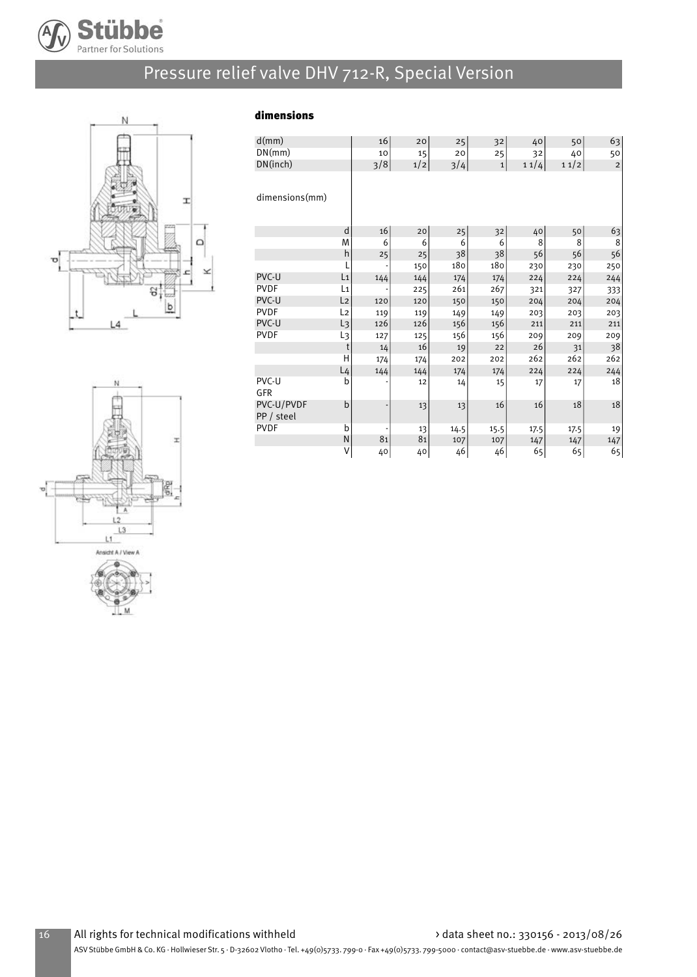

# Pressure relief valve DHV 712-R, Special Version

dimensions



| d(mm)                    |                | 16  | 20  | 25   | 32           | 40   | 50   | 63             |
|--------------------------|----------------|-----|-----|------|--------------|------|------|----------------|
| DN(mm)                   |                | 10  | 15  | 20   | 25           | 32   | 40   | 50             |
| DN(inch)                 |                | 3/8 | 1/2 | 3/4  | $\mathbf{1}$ | 11/4 | 11/2 | $\overline{2}$ |
| dimensions(mm)           |                |     |     |      |              |      |      |                |
|                          | d              | 16  | 20  | 25   | 32           | 40   | 50   | 63             |
|                          | M              | 6   | 6   | 6    | 6            | 8    | 8    | 8              |
|                          | h              | 25  | 25  | 38   | 38           | 56   | 56   | 56             |
|                          | L              |     | 150 | 180  | 180          | 230  | 230  | 250            |
| PVC-U                    | L1             | 144 | 144 | 174  | 174          | 224  | 224  | 244            |
| <b>PVDF</b>              | L <sub>1</sub> |     | 225 | 261  | 267          | 321  | 327  | 333            |
| PVC-U                    | L <sub>2</sub> | 120 | 120 | 150  | 150          | 204  | 204  | 204            |
| <b>PVDF</b>              | L2             | 119 | 119 | 149  | 149          | 203  | 203  | 203            |
| PVC-U                    | L3             | 126 | 126 | 156  | 156          | 211  | 211  | 211            |
| <b>PVDF</b>              | L3             | 127 | 125 | 156  | 156          | 209  | 209  | 209            |
|                          | t              | 14  | 16  | 19   | 22           | 26   | 31   | 38             |
|                          | H              | 174 | 174 | 202  | 202          | 262  | 262  | 262            |
|                          | $L_4$          | 144 | 144 | 174  | 174          | 224  | 224  | 244            |
| PVC-U<br>GFR             | b              |     | 12  | 14   | 15           | 17   | 17   | 18             |
| PVC-U/PVDF<br>PP / steel | $\mathbf b$    |     | 13  | 13   | 16           | 16   | 18   | 18             |
| <b>PVDF</b>              | b              |     | 13  | 14.5 | 15.5         | 17.5 | 17.5 | 19             |
|                          | N              | 81  | 81  | 107  | 107          | 147  | 147  | 147            |
|                          | V              | 40  | 40  | 46   | 46           | 65   | 65   | 65             |

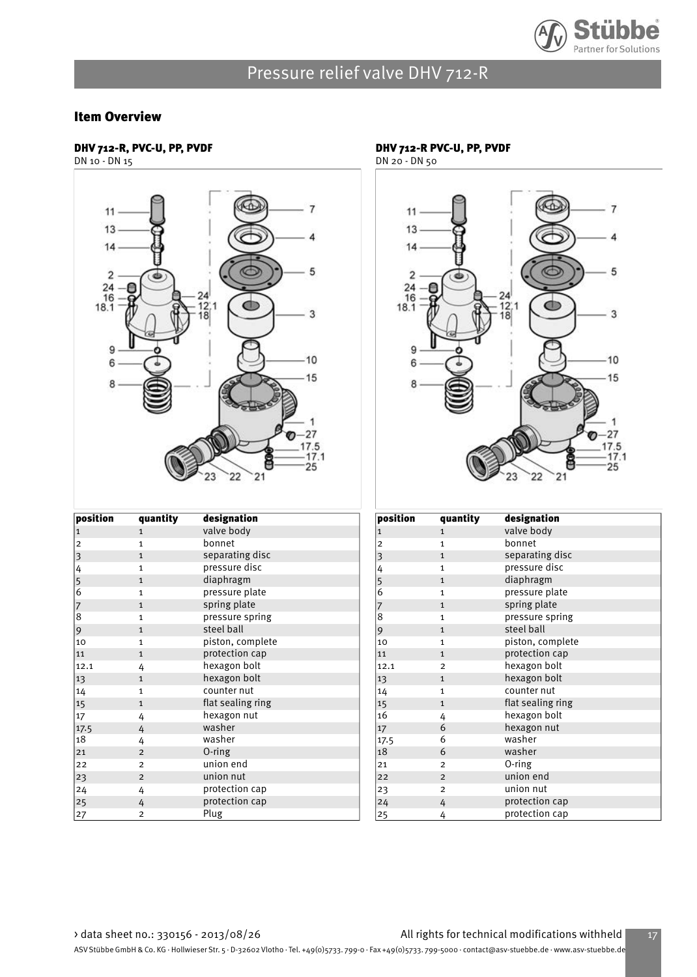

#### Item Overview

#### DHV 712-R, PVC-U, PP, PVDF

DN 10 - DN 15



| $ $ position                               | quantity       | designation       |
|--------------------------------------------|----------------|-------------------|
| $\vert$ 1                                  | $\mathbf{1}$   | valve body        |
| $\overline{\mathbf{c}}$                    | $\mathbf{1}$   | bonnet            |
| $\overline{\mathbf{3}}$                    | $\mathbf{1}$   | separating disc   |
|                                            | $\mathbf{1}$   | pressure disc     |
| $\begin{array}{c} 4 \\ 5 \\ 6 \end{array}$ | $\mathbf{1}$   | diaphragm         |
|                                            | $\mathbf{1}$   | pressure plate    |
| $\begin{array}{c} 7 \\ 8 \end{array}$      | $\mathbf{1}$   | spring plate      |
|                                            | $\mathbf{1}$   | pressure spring   |
| 9                                          | $\mathbf{1}$   | steel ball        |
| 10                                         | $\mathbf{1}$   | piston, complete  |
| 11                                         | $\mathbf{1}$   | protection cap    |
| 12.1                                       | 4              | hexagon bolt      |
| 13                                         | $\mathbf{1}$   | hexagon bolt      |
| 14                                         | $\mathbf{1}$   | counter nut       |
| 15                                         | $\mathbf{1}$   | flat sealing ring |
| 17                                         | 4              | hexagon nut       |
| 17.5                                       | 4              | washer            |
| 18                                         | 4              | washer            |
| 21                                         | $\overline{2}$ | O-ring            |
| 22                                         | $\overline{2}$ | union end         |
| 23                                         | $\overline{2}$ | union nut         |
| 24                                         | 4              | protection cap    |
| 25                                         | 4              | protection cap    |
| 27                                         | $\overline{c}$ | Plug              |

### DHV 712-R PVC-U, PP, PVDF

DN 20 - DN 50



| position     | quantity       | designation       |
|--------------|----------------|-------------------|
| $\mathbf{1}$ | $\mathbf{1}$   | valve body        |
| 2            | $\mathbf{1}$   | bonnet            |
| 3            | $\mathbf{1}$   | separating disc   |
| 4            | $\mathbf{1}$   | pressure disc     |
| 5            | $\mathbf{1}$   | diaphragm         |
| 6            | $\mathbf{1}$   | pressure plate    |
| 7            | $\mathbf{1}$   | spring plate      |
| 8            | $\mathbf{1}$   | pressure spring   |
| 9            | $\mathbf{1}$   | steel ball        |
| 10           | $\mathbf{1}$   | piston, complete  |
| 11           | $\mathbf{1}$   | protection cap    |
| 12.1         | $\overline{2}$ | hexagon bolt      |
| 13           | $\mathbf{1}$   | hexagon bolt      |
| 14           | $\mathbf{1}$   | counter nut       |
| 15           | $\mathbf{1}$   | flat sealing ring |
| 16           | 4              | hexagon bolt      |
| 17           | 6              | hexagon nut       |
| 17.5         | 6              | washer            |
| 18           | 6              | washer            |
| 21           | $\overline{2}$ | 0-ring            |
| 22           | $\overline{2}$ | union end         |
| 23           | $\overline{2}$ | union nut         |
| 24           | 4              | protection cap    |
| 25           | 4              | protection cap    |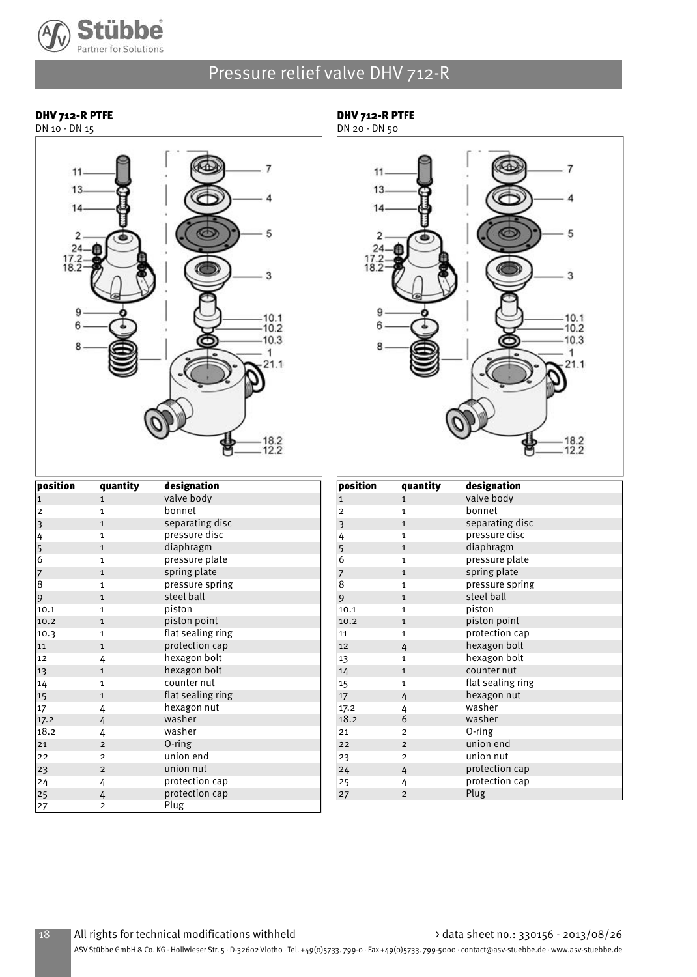

DHV 712-R PTFE

#### DHV 712-R PTFE

DN 10 - DN 15

### $\overline{7}$  $13.$  $\overline{2}$  $\frac{24}{17.2}$ <br>18.2  $10.1$  $-10.2$  $-10.3$  $\mathbf{1}$  $21.1$  $.18.2$ <br> $.12.2$



| position       | quantity       | designation       |
|----------------|----------------|-------------------|
| $\mathbf{1}$   | $\mathbf{1}$   | valve body        |
| $\overline{c}$ | $\mathbf{1}$   | bonnet            |
| 3              | $\mathbf{1}$   | separating disc   |
| 4              | $\mathbf{1}$   | pressure disc     |
| 5              | $\mathbf{1}$   | diaphragm         |
| $\overline{6}$ | $\mathbf{1}$   | pressure plate    |
| 7              | $\mathbf{1}$   | spring plate      |
| 8              | $\mathbf{1}$   | pressure spring   |
| 9              | $\mathbf{1}$   | steel ball        |
| 10.1           | $\mathbf{1}$   | piston            |
| 10.2           | $\mathbf{1}$   | piston point      |
| 10.3           | $\mathbf{1}$   | flat sealing ring |
| 11             | $\mathbf{1}$   | protection cap    |
| 12             | 4              | hexagon bolt      |
| 13             | $\mathbf{1}$   | hexagon bolt      |
| 14             | $\mathbf{1}$   | counter nut       |
| 15             | $\mathbf{1}$   | flat sealing ring |
| 17             | 4              | hexagon nut       |
| 17.2           | 4              | washer            |
| 18.2           | 4              | washer            |
| 21             | $\overline{2}$ | 0-ring            |
| 22             | $\overline{2}$ | union end         |
| 23             | $\overline{2}$ | union nut         |
| 24             | 4              | protection cap    |
| 25             | 4              | protection cap    |
| 27             | 2              | Plug              |

| position                                   | quantity       | designation       |
|--------------------------------------------|----------------|-------------------|
| $\vert$ 1                                  | $\mathbf{1}$   | valve body        |
| $\mathbf 2$                                | $\mathbf{1}$   | bonnet            |
| $\vert$ 3                                  | $\mathbf{1}$   | separating disc   |
|                                            | $\mathbf{1}$   | pressure disc     |
| $\begin{array}{c} 4 \\ 5 \\ 6 \end{array}$ | $\mathbf{1}$   | diaphragm         |
|                                            | $\mathbf{1}$   | pressure plate    |
| $\frac{7}{8}$                              | $\mathbf{1}$   | spring plate      |
|                                            | 1              | pressure spring   |
| 9                                          | $\mathbf{1}$   | steel ball        |
| 10.1                                       | $\mathbf{1}$   | piston            |
| 10.2                                       | $\mathbf{1}$   | piston point      |
| 11                                         | $\mathbf{1}$   | protection cap    |
| 12                                         | 4              | hexagon bolt      |
| 13                                         | $\mathbf{1}$   | hexagon bolt      |
| 14                                         | $\mathbf{1}$   | counter nut       |
| 15                                         | 1              | flat sealing ring |
| 17                                         | 4              | hexagon nut       |
| 17.2                                       | 4              | washer            |
| 18.2                                       | 6              | washer            |
| 21                                         | $\overline{2}$ | O-ring            |
| 22                                         | $\overline{2}$ | union end         |
| 23                                         | $\overline{2}$ | union nut         |
| 24                                         | 4              | protection cap    |
| 25                                         | 4              | protection cap    |
| 27                                         | $\overline{c}$ | Plug              |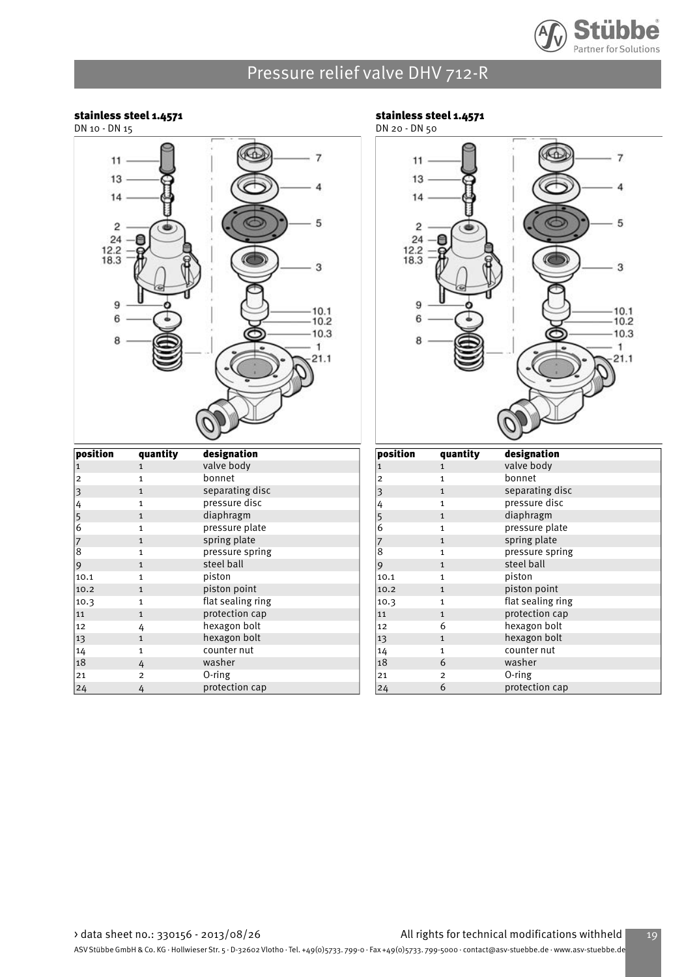

#### stainless steel 1.4571

DN 10 - DN 15



| position      | quantity       | designation       |
|---------------|----------------|-------------------|
| 1             | 1              | valve body        |
| 2             | $\mathbf{1}$   | bonnet            |
| 3             | $\mathbf{1}$   | separating disc   |
| 4             | $\mathbf{1}$   | pressure disc     |
| $\frac{5}{6}$ | $\mathbf{1}$   | diaphragm         |
|               | $\mathbf{1}$   | pressure plate    |
| 7             | $\mathbf{1}$   | spring plate      |
| 8             | $\mathbf{1}$   | pressure spring   |
| 9             | $\mathbf{1}$   | steel ball        |
| 10.1          | $\mathbf{1}$   | piston            |
| 10.2          | $\mathbf{1}$   | piston point      |
| 10.3          | $\mathbf{1}$   | flat sealing ring |
| 11            | $\mathbf{1}$   | protection cap    |
| 12            | 4              | hexagon bolt      |
| 13            | $\mathbf{1}$   | hexagon bolt      |
| 14            | $\mathbf{1}$   | counter nut       |
| 18            | 4              | washer            |
| 21            | $\overline{2}$ | 0-ring            |
| 24            | 4              | protection cap    |

#### stainless steel 1.4571



| position | quantity       | designation       |
|----------|----------------|-------------------|
| 1        | $\mathbf{1}$   | valve body        |
| 2        | $\mathbf{1}$   | bonnet            |
| 3        | $\mathbf{1}$   | separating disc   |
| 4        | 1              | pressure disc     |
| 5        | $\mathbf{1}$   | diaphragm         |
| 6        | $\mathbf{1}$   | pressure plate    |
| 7        | $\mathbf{1}$   | spring plate      |
| 8        | $\mathbf{1}$   | pressure spring   |
| 9        | $\mathbf{1}$   | steel ball        |
| 10.1     | $\mathbf{1}$   | piston            |
| 10.2     | $\mathbf{1}$   | piston point      |
| 10.3     | 1              | flat sealing ring |
| 11       | $\mathbf{1}$   | protection cap    |
| 12       | 6              | hexagon bolt      |
| 13       | $\mathbf{1}$   | hexagon bolt      |
| 14       | $\mathbf{1}$   | counter nut       |
| 18       | 6              | washer            |
| 21       | $\overline{2}$ | $0$ -ring         |
| 24       | 6              | protection cap    |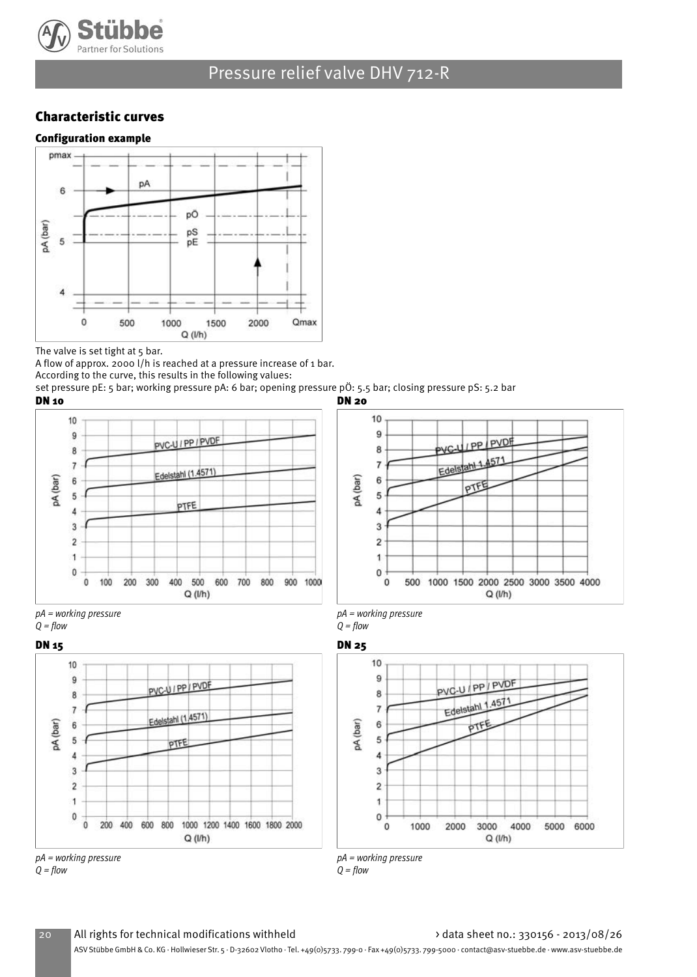

### Characteristic curves



The valve is set tight at 5 bar.

A flow of approx. 2000 l/h is reached at a pressure increase of 1 bar. According to the curve, this results in the following values:

set pressure pE: 5 bar; working pressure pA: 6 bar; opening pressure pÖ: 5.5 bar; closing pressure pS: 5.2 bar DN 10 DN 20



PVC-UIPPIPVDE

Edelstahl (1,4571)

PIFE

200 400 600 800 1000 1200 1400 1600 1800 2000

 $Q(Nh)$ 



pA = working pressure  $Q = flow$ 





pA = working pressure  $Q = flow$ 



pA = working pressure

10

 $\overline{9}$ 

8

 $\overline{7}$ 

6

5

4 3

 $\overline{c}$ 

1

0

 $\ddot{\mathbf{0}}$ 

pA (bar)

 $Q = flow$ DN 15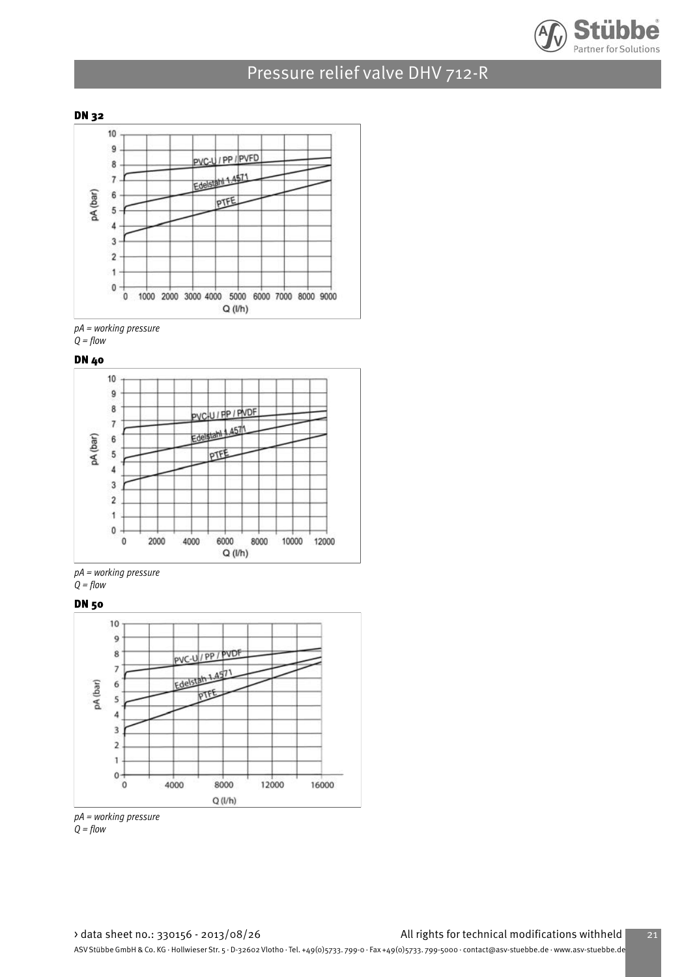



pA = working pressure  $Q = flow$ 

DN 40



pA = working pressure  $Q = flow$ 

DN 50